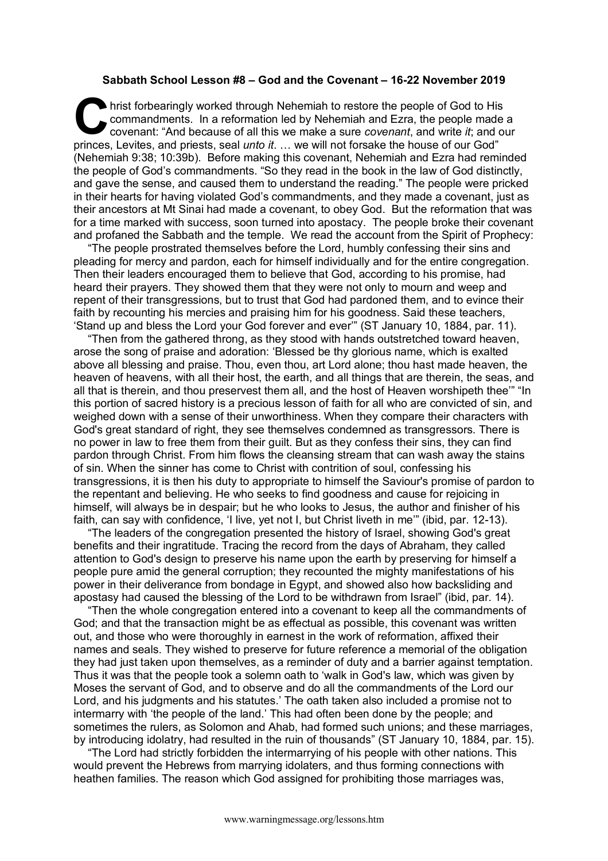## **Sabbath School Lesson #8 – God and the Covenant – 16-22 November 2019**

hrist forbearingly worked through Nehemiah to restore the people of God to His commandments. In a reformation led by Nehemiah and Ezra, the people made covenant: "And because of all this we make a sure covenant, and write commandments. In a reformation led by Nehemiah and Ezra, the people made a covenant: "And because of all this we make a sure *covenant*, and write *it*; and our princes, Levites, and priests, seal *unto it*. … we will not forsake the house of our God" (Nehemiah 9:38; 10:39b). Before making this covenant, Nehemiah and Ezra had reminded the people of God's commandments. "So they read in the book in the law of God distinctly, and gave the sense, and caused them to understand the reading." The people were pricked in their hearts for having violated God's commandments, and they made a covenant, just as their ancestors at Mt Sinai had made a covenant, to obey God. But the reformation that was for a time marked with success, soon turned into apostacy. The people broke their covenant and profaned the Sabbath and the temple. We read the account from the Spirit of Prophecy:

"The people prostrated themselves before the Lord, humbly confessing their sins and pleading for mercy and pardon, each for himself individually and for the entire congregation. Then their leaders encouraged them to believe that God, according to his promise, had heard their prayers. They showed them that they were not only to mourn and weep and repent of their transgressions, but to trust that God had pardoned them, and to evince their faith by recounting his mercies and praising him for his goodness. Said these teachers, 'Stand up and bless the Lord your God forever and ever'" (ST January 10, 1884, par. 11).

"Then from the gathered throng, as they stood with hands outstretched toward heaven, arose the song of praise and adoration: 'Blessed be thy glorious name, which is exalted above all blessing and praise. Thou, even thou, art Lord alone; thou hast made heaven, the heaven of heavens, with all their host, the earth, and all things that are therein, the seas, and all that is therein, and thou preservest them all, and the host of Heaven worshipeth thee'" "In this portion of sacred history is a precious lesson of faith for all who are convicted of sin, and weighed down with a sense of their unworthiness. When they compare their characters with God's great standard of right, they see themselves condemned as transgressors. There is no power in law to free them from their guilt. But as they confess their sins, they can find pardon through Christ. From him flows the cleansing stream that can wash away the stains of sin. When the sinner has come to Christ with contrition of soul, confessing his transgressions, it is then his duty to appropriate to himself the Saviour's promise of pardon to the repentant and believing. He who seeks to find goodness and cause for rejoicing in himself, will always be in despair; but he who looks to Jesus, the author and finisher of his faith, can say with confidence, 'I live, yet not I, but Christ liveth in me'" (ibid, par. 12-13).

"The leaders of the congregation presented the history of Israel, showing God's great benefits and their ingratitude. Tracing the record from the days of Abraham, they called attention to God's design to preserve his name upon the earth by preserving for himself a people pure amid the general corruption; they recounted the mighty manifestations of his power in their deliverance from bondage in Egypt, and showed also how backsliding and apostasy had caused the blessing of the Lord to be withdrawn from Israel" (ibid, par. 14).

"Then the whole congregation entered into a covenant to keep all the commandments of God; and that the transaction might be as effectual as possible, this covenant was written out, and those who were thoroughly in earnest in the work of reformation, affixed their names and seals. They wished to preserve for future reference a memorial of the obligation they had just taken upon themselves, as a reminder of duty and a barrier against temptation. Thus it was that the people took a solemn oath to 'walk in God's law, which was given by Moses the servant of God, and to observe and do all the commandments of the Lord our Lord, and his judgments and his statutes.' The oath taken also included a promise not to intermarry with 'the people of the land.' This had often been done by the people; and sometimes the rulers, as Solomon and Ahab, had formed such unions; and these marriages, by introducing idolatry, had resulted in the ruin of thousands" (ST January 10, 1884, par. 15).

"The Lord had strictly forbidden the intermarrying of his people with other nations. This would prevent the Hebrews from marrying idolaters, and thus forming connections with heathen families. The reason which God assigned for prohibiting those marriages was,